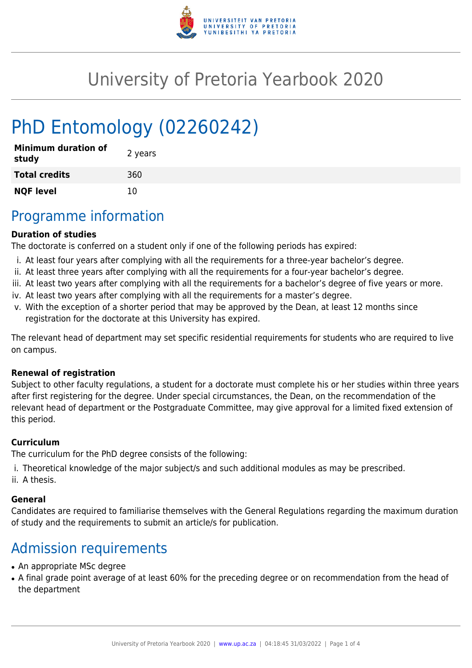

# University of Pretoria Yearbook 2020

# PhD Entomology (02260242)

| <b>Minimum duration of</b><br>study | 2 years |
|-------------------------------------|---------|
| <b>Total credits</b>                | 360     |
| <b>NQF level</b>                    | 10      |

### Programme information

#### **Duration of studies**

The doctorate is conferred on a student only if one of the following periods has expired:

- i. At least four years after complying with all the requirements for a three-year bachelor's degree.
- ii. At least three years after complying with all the requirements for a four-year bachelor's degree.
- iii. At least two years after complying with all the requirements for a bachelor's degree of five years or more.
- iv. At least two years after complying with all the requirements for a master's degree.
- v. With the exception of a shorter period that may be approved by the Dean, at least 12 months since registration for the doctorate at this University has expired.

The relevant head of department may set specific residential requirements for students who are required to live on campus.

#### **Renewal of registration**

Subject to other faculty regulations, a student for a doctorate must complete his or her studies within three years after first registering for the degree. Under special circumstances, the Dean, on the recommendation of the relevant head of department or the Postgraduate Committee, may give approval for a limited fixed extension of this period.

#### **Curriculum**

The curriculum for the PhD degree consists of the following:

- i. Theoretical knowledge of the major subject/s and such additional modules as may be prescribed.
- ii. A thesis.

#### **General**

Candidates are required to familiarise themselves with the General Regulations regarding the maximum duration of study and the requirements to submit an article/s for publication.

# Admission requirements

- An appropriate MSc degree
- A final grade point average of at least 60% for the preceding degree or on recommendation from the head of the department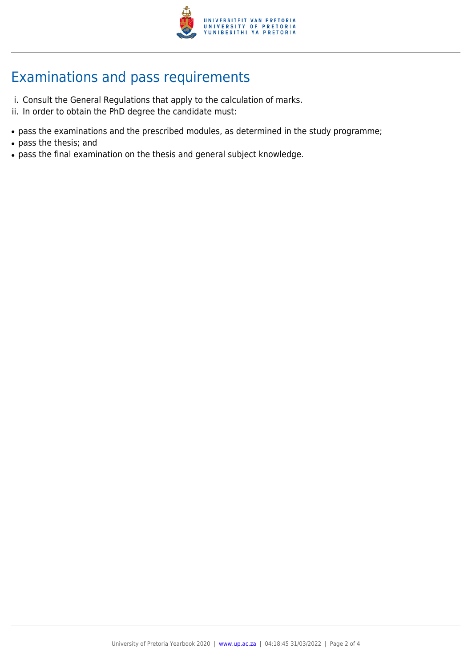

# Examinations and pass requirements

- i. Consult the General Regulations that apply to the calculation of marks.
- ii. In order to obtain the PhD degree the candidate must:
- pass the examinations and the prescribed modules, as determined in the study programme;
- pass the thesis; and
- pass the final examination on the thesis and general subject knowledge.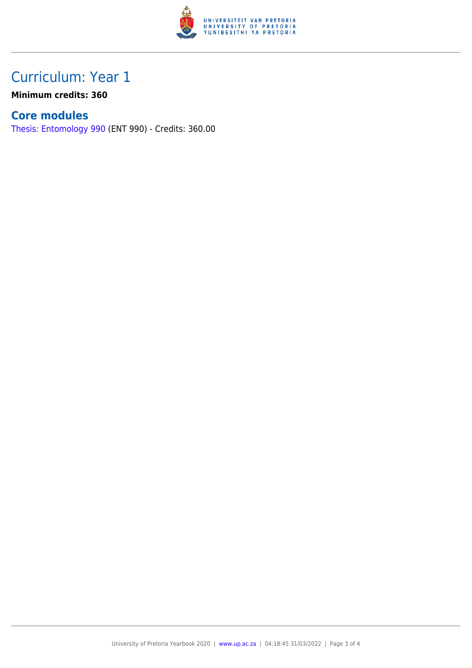

## Curriculum: Year 1

**Minimum credits: 360**

### **Core modules**

[Thesis: Entomology 990](https://www.up.ac.za/mechanical-and-aeronautical-engineering/yearbooks/2020/modules/view/ENT 990) (ENT 990) - Credits: 360.00